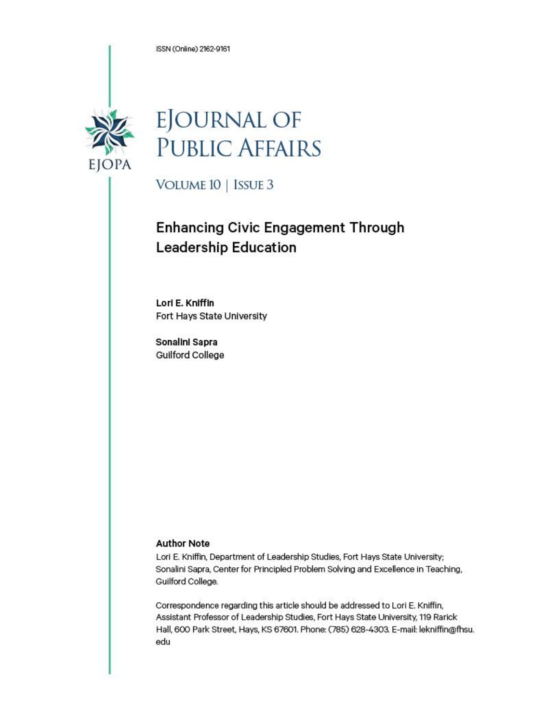ISSN (Online) 2162-9161



# **EJOURNAL OF PUBLIC AFFAIRS**

VOLUME 10 | ISSUE 3

# **Enhancing Civic Engagement Through Leadership Education**

Lori E. Kniffin Fort Hays State University

Sonalini Sapra **Guilford College** 

#### **Author Note**

Lori E. Kniffin, Department of Leadership Studies, Fort Hays State University; Sonalini Sapra, Center for Principled Problem Solving and Excellence in Teaching, Guilford College.

Correspondence regarding this article should be addressed to Lori E. Kniffin, Assistant Professor of Leadership Studies, Fort Hays State University, 119 Rarick Hall, 600 Park Street, Hays, KS 67601. Phone: (785) 628-4303. E-mail: lekniffin@fhsu. edu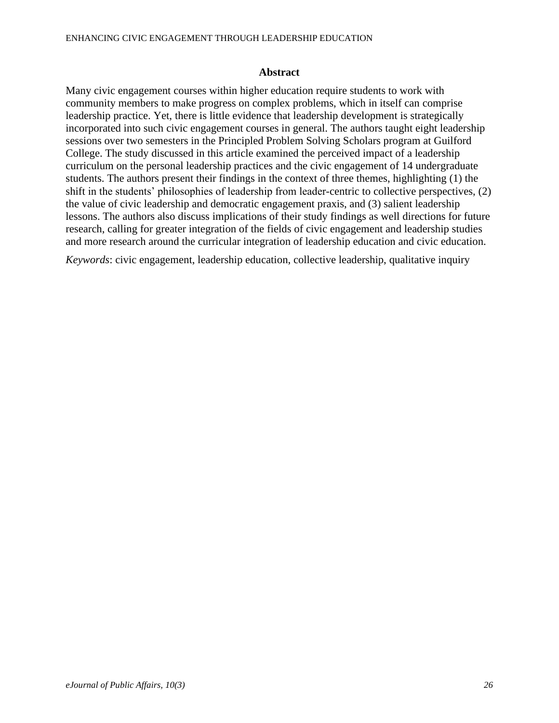#### **Abstract**

Many civic engagement courses within higher education require students to work with community members to make progress on complex problems, which in itself can comprise leadership practice. Yet, there is little evidence that leadership development is strategically incorporated into such civic engagement courses in general. The authors taught eight leadership sessions over two semesters in the Principled Problem Solving Scholars program at Guilford College. The study discussed in this article examined the perceived impact of a leadership curriculum on the personal leadership practices and the civic engagement of 14 undergraduate students. The authors present their findings in the context of three themes, highlighting (1) the shift in the students' philosophies of leadership from leader-centric to collective perspectives, (2) the value of civic leadership and democratic engagement praxis, and (3) salient leadership lessons. The authors also discuss implications of their study findings as well directions for future research, calling for greater integration of the fields of civic engagement and leadership studies and more research around the curricular integration of leadership education and civic education.

*Keywords*: civic engagement, leadership education, collective leadership, qualitative inquiry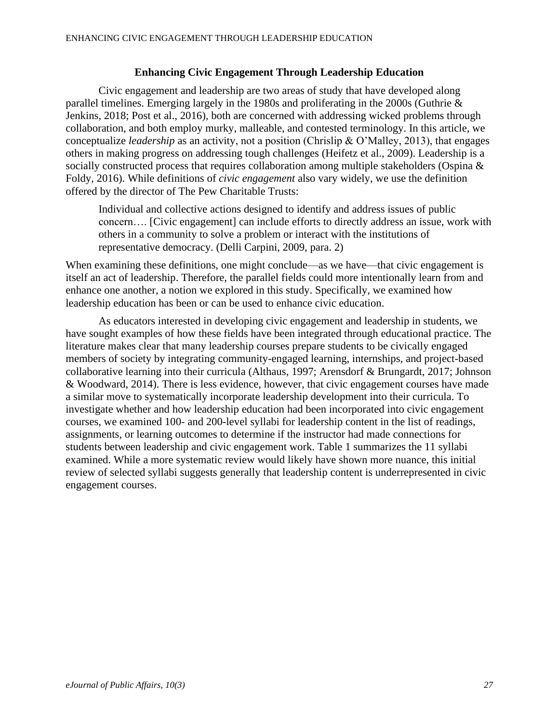# **Enhancing Civic Engagement Through Leadership Education**

Civic engagement and leadership are two areas of study that have developed along parallel timelines. Emerging largely in the 1980s and proliferating in the 2000s (Guthrie & Jenkins, 2018; Post et al., 2016), both are concerned with addressing wicked problems through collaboration, and both employ murky, malleable, and contested terminology. In this article, we conceptualize *leadership* as an activity, not a position (Chrislip & O'Malley, 2013), that engages others in making progress on addressing tough challenges (Heifetz et al., 2009). Leadership is a socially constructed process that requires collaboration among multiple stakeholders (Ospina & Foldy, 2016). While definitions of *civic engagement* also vary widely, we use the definition offered by the director of The Pew Charitable Trusts:

Individual and collective actions designed to identify and address issues of public concern…. [Civic engagement] can include efforts to directly address an issue, work with others in a community to solve a problem or interact with the institutions of representative democracy. (Delli Carpini, 2009, para. 2)

When examining these definitions, one might conclude—as we have—that civic engagement is itself an act of leadership. Therefore, the parallel fields could more intentionally learn from and enhance one another, a notion we explored in this study. Specifically, we examined how leadership education has been or can be used to enhance civic education.

As educators interested in developing civic engagement and leadership in students, we have sought examples of how these fields have been integrated through educational practice. The literature makes clear that many leadership courses prepare students to be civically engaged members of society by integrating community-engaged learning, internships, and project-based collaborative learning into their curricula (Althaus, 1997; Arensdorf & Brungardt, 2017; Johnson & Woodward, 2014). There is less evidence, however, that civic engagement courses have made a similar move to systematically incorporate leadership development into their curricula. To investigate whether and how leadership education had been incorporated into civic engagement courses, we examined 100- and 200-level syllabi for leadership content in the list of readings, assignments, or learning outcomes to determine if the instructor had made connections for students between leadership and civic engagement work. Table 1 summarizes the 11 syllabi examined. While a more systematic review would likely have shown more nuance, this initial review of selected syllabi suggests generally that leadership content is underrepresented in civic engagement courses.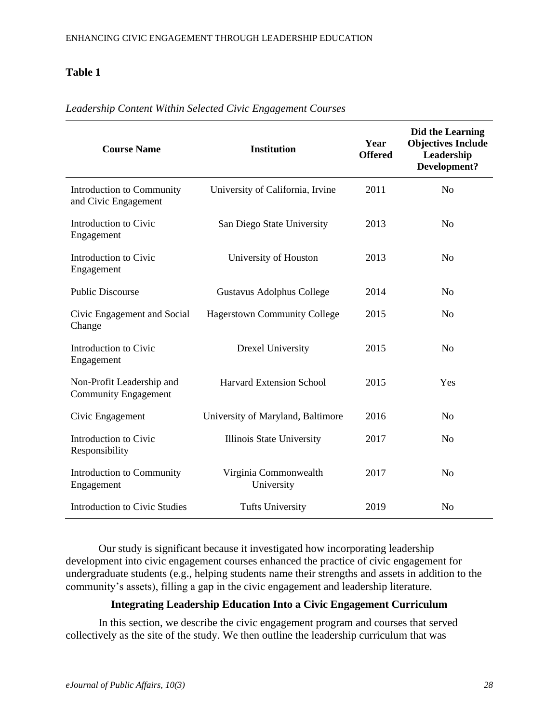# **Table 1**

| <b>Course Name</b>                                       | <b>Institution</b>                  | Year<br><b>Offered</b> | Did the Learning<br><b>Objectives Include</b><br>Leadership<br>Development? |
|----------------------------------------------------------|-------------------------------------|------------------------|-----------------------------------------------------------------------------|
| Introduction to Community<br>and Civic Engagement        | University of California, Irvine    | 2011                   | N <sub>o</sub>                                                              |
| Introduction to Civic<br>Engagement                      | San Diego State University          | 2013                   | N <sub>o</sub>                                                              |
| Introduction to Civic<br>Engagement                      | University of Houston               | 2013                   | N <sub>0</sub>                                                              |
| <b>Public Discourse</b>                                  | Gustavus Adolphus College           | 2014                   | No                                                                          |
| Civic Engagement and Social<br>Change                    | <b>Hagerstown Community College</b> | 2015                   | N <sub>o</sub>                                                              |
| Introduction to Civic<br>Engagement                      | Drexel University                   | 2015                   | N <sub>o</sub>                                                              |
| Non-Profit Leadership and<br><b>Community Engagement</b> | <b>Harvard Extension School</b>     | 2015                   | Yes                                                                         |
| Civic Engagement                                         | University of Maryland, Baltimore   | 2016                   | N <sub>o</sub>                                                              |
| Introduction to Civic<br>Responsibility                  | Illinois State University           | 2017                   | N <sub>o</sub>                                                              |
| Introduction to Community<br>Engagement                  | Virginia Commonwealth<br>University | 2017                   | N <sub>0</sub>                                                              |
| <b>Introduction to Civic Studies</b>                     | <b>Tufts University</b>             | 2019                   | N <sub>o</sub>                                                              |

# *Leadership Content Within Selected Civic Engagement Courses*

Our study is significant because it investigated how incorporating leadership development into civic engagement courses enhanced the practice of civic engagement for undergraduate students (e.g., helping students name their strengths and assets in addition to the community's assets), filling a gap in the civic engagement and leadership literature.

# **Integrating Leadership Education Into a Civic Engagement Curriculum**

In this section, we describe the civic engagement program and courses that served collectively as the site of the study. We then outline the leadership curriculum that was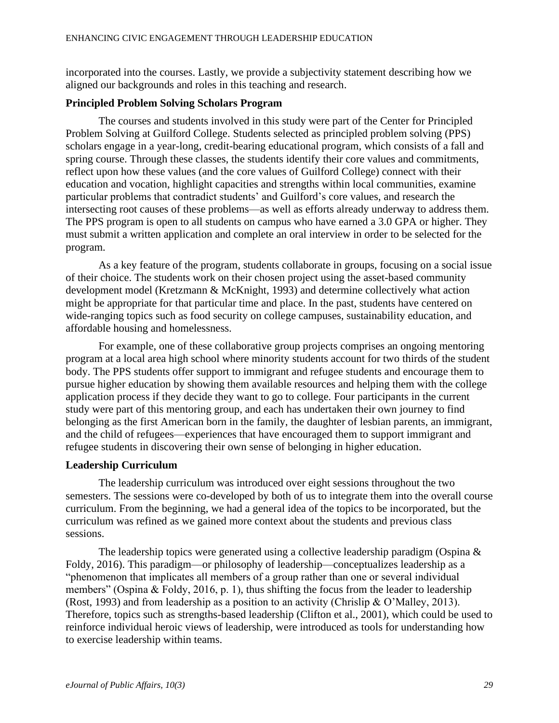incorporated into the courses. Lastly, we provide a subjectivity statement describing how we aligned our backgrounds and roles in this teaching and research.

# **Principled Problem Solving Scholars Program**

The courses and students involved in this study were part of the Center for Principled Problem Solving at Guilford College. Students selected as principled problem solving (PPS) scholars engage in a year-long, credit-bearing educational program, which consists of a fall and spring course. Through these classes, the students identify their core values and commitments, reflect upon how these values (and the core values of Guilford College) connect with their education and vocation, highlight capacities and strengths within local communities, examine particular problems that contradict students' and Guilford's core values, and research the intersecting root causes of these problems—as well as efforts already underway to address them. The PPS program is open to all students on campus who have earned a 3.0 GPA or higher. They must submit a written application and complete an oral interview in order to be selected for the program.

As a key feature of the program, students collaborate in groups, focusing on a social issue of their choice. The students work on their chosen project using the asset-based community development model (Kretzmann & McKnight, 1993) and determine collectively what action might be appropriate for that particular time and place. In the past, students have centered on wide-ranging topics such as food security on college campuses, sustainability education, and affordable housing and homelessness.

For example, one of these collaborative group projects comprises an ongoing mentoring program at a local area high school where minority students account for two thirds of the student body. The PPS students offer support to immigrant and refugee students and encourage them to pursue higher education by showing them available resources and helping them with the college application process if they decide they want to go to college. Four participants in the current study were part of this mentoring group, and each has undertaken their own journey to find belonging as the first American born in the family, the daughter of lesbian parents, an immigrant, and the child of refugees—experiences that have encouraged them to support immigrant and refugee students in discovering their own sense of belonging in higher education.

# **Leadership Curriculum**

The leadership curriculum was introduced over eight sessions throughout the two semesters. The sessions were co-developed by both of us to integrate them into the overall course curriculum. From the beginning, we had a general idea of the topics to be incorporated, but the curriculum was refined as we gained more context about the students and previous class sessions.

The leadership topics were generated using a collective leadership paradigm (Ospina & Foldy, 2016). This paradigm—or philosophy of leadership—conceptualizes leadership as a "phenomenon that implicates all members of a group rather than one or several individual members" (Ospina & Foldy, 2016, p. 1), thus shifting the focus from the leader to leadership (Rost, 1993) and from leadership as a position to an activity (Chrislip & O'Malley, 2013). Therefore, topics such as strengths-based leadership (Clifton et al., 2001), which could be used to reinforce individual heroic views of leadership, were introduced as tools for understanding how to exercise leadership within teams.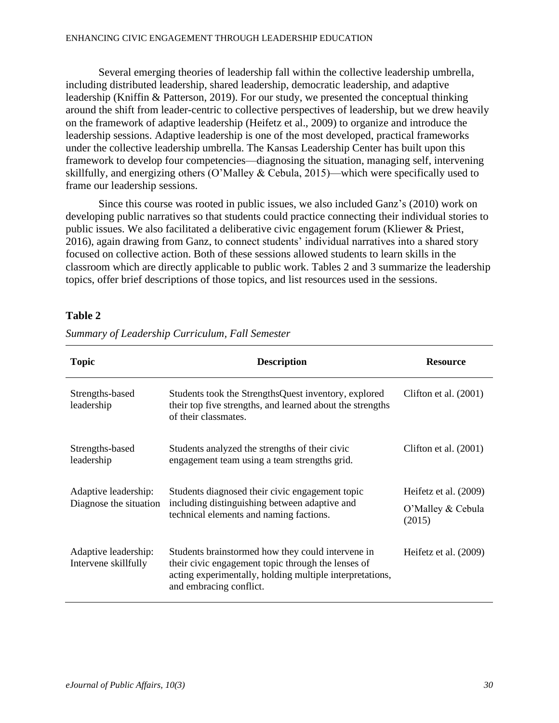#### ENHANCING CIVIC ENGAGEMENT THROUGH LEADERSHIP EDUCATION

Several emerging theories of leadership fall within the collective leadership umbrella, including distributed leadership, shared leadership, democratic leadership, and adaptive leadership (Kniffin & Patterson, 2019). For our study, we presented the conceptual thinking around the shift from leader-centric to collective perspectives of leadership, but we drew heavily on the framework of adaptive leadership (Heifetz et al., 2009) to organize and introduce the leadership sessions. Adaptive leadership is one of the most developed, practical frameworks under the collective leadership umbrella. The Kansas Leadership Center has built upon this framework to develop four competencies—diagnosing the situation, managing self, intervening skillfully, and energizing others (O'Malley & Cebula, 2015)—which were specifically used to frame our leadership sessions.

Since this course was rooted in public issues, we also included Ganz's (2010) work on developing public narratives so that students could practice connecting their individual stories to public issues. We also facilitated a deliberative civic engagement forum (Kliewer & Priest, 2016), again drawing from Ganz, to connect students' individual narratives into a shared story focused on collective action. Both of these sessions allowed students to learn skills in the classroom which are directly applicable to public work. Tables 2 and 3 summarize the leadership topics, offer brief descriptions of those topics, and list resources used in the sessions.

# **Table 2**

| <b>Topic</b>                                   | <b>Description</b>                                                                                                                                                                             | <b>Resource</b>                                      |
|------------------------------------------------|------------------------------------------------------------------------------------------------------------------------------------------------------------------------------------------------|------------------------------------------------------|
| Strengths-based<br>leadership                  | Students took the StrengthsQuest inventory, explored<br>their top five strengths, and learned about the strengths<br>of their classmates.                                                      | Clifton et al. $(2001)$                              |
| Strengths-based<br>leadership                  | Students analyzed the strengths of their civic<br>engagement team using a team strengths grid.                                                                                                 | Clifton et al. $(2001)$                              |
| Adaptive leadership:<br>Diagnose the situation | Students diagnosed their civic engagement topic<br>including distinguishing between adaptive and<br>technical elements and naming factions.                                                    | Heifetz et al. (2009)<br>O'Malley & Cebula<br>(2015) |
| Adaptive leadership:<br>Intervene skillfully   | Students brainstormed how they could intervene in<br>their civic engagement topic through the lenses of<br>acting experimentally, holding multiple interpretations,<br>and embracing conflict. | Heifetz et al. (2009)                                |

*Summary of Leadership Curriculum, Fall Semester*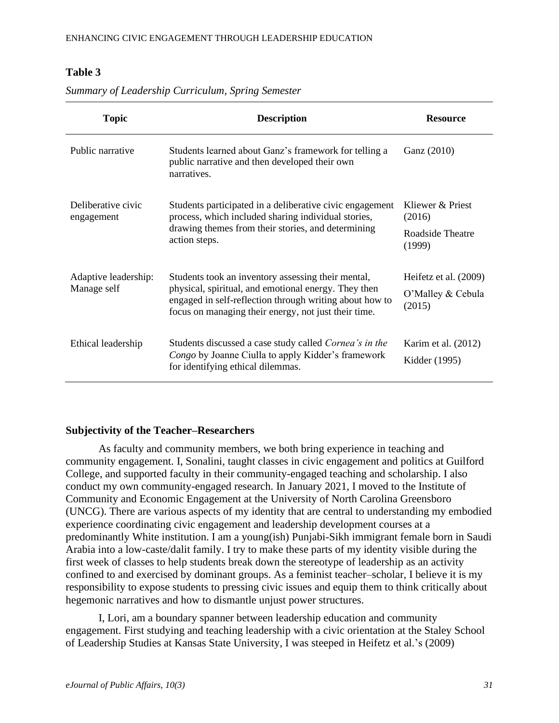# **Table 3**

| <b>Topic</b>                        | <b>Description</b>                                                                                                                                                                                                            | <b>Resource</b>                        |
|-------------------------------------|-------------------------------------------------------------------------------------------------------------------------------------------------------------------------------------------------------------------------------|----------------------------------------|
| Public narrative                    | Students learned about Ganz's framework for telling a<br>public narrative and then developed their own<br>narratives.                                                                                                         | Ganz (2010)                            |
| Deliberative civic<br>engagement    | Students participated in a deliberative civic engagement<br>process, which included sharing individual stories,                                                                                                               | Kliewer & Priest<br>(2016)             |
|                                     | drawing themes from their stories, and determining<br>action steps.                                                                                                                                                           | Roadside Theatre<br>(1999)             |
| Adaptive leadership:<br>Manage self | Students took an inventory assessing their mental,<br>physical, spiritual, and emotional energy. They then<br>engaged in self-reflection through writing about how to<br>focus on managing their energy, not just their time. | Heifetz et al. (2009)                  |
|                                     |                                                                                                                                                                                                                               | O'Malley & Cebula<br>(2015)            |
| Ethical leadership                  | Students discussed a case study called <i>Cornea's in the</i><br>Congo by Joanne Ciulla to apply Kidder's framework<br>for identifying ethical dilemmas.                                                                      | Karim et al. $(2012)$<br>Kidder (1995) |

*Summary of Leadership Curriculum, Spring Semester*

# **Subjectivity of the Teacher–Researchers**

As faculty and community members, we both bring experience in teaching and community engagement. I, Sonalini, taught classes in civic engagement and politics at Guilford College, and supported faculty in their community-engaged teaching and scholarship. I also conduct my own community-engaged research. In January 2021, I moved to the Institute of Community and Economic Engagement at the University of North Carolina Greensboro (UNCG). There are various aspects of my identity that are central to understanding my embodied experience coordinating civic engagement and leadership development courses at a predominantly White institution. I am a young(ish) Punjabi-Sikh immigrant female born in Saudi Arabia into a low-caste/dalit family. I try to make these parts of my identity visible during the first week of classes to help students break down the stereotype of leadership as an activity confined to and exercised by dominant groups. As a feminist teacher–scholar, I believe it is my responsibility to expose students to pressing civic issues and equip them to think critically about hegemonic narratives and how to dismantle unjust power structures.

I, Lori, am a boundary spanner between leadership education and community engagement. First studying and teaching leadership with a civic orientation at the Staley School of Leadership Studies at Kansas State University, I was steeped in Heifetz et al.'s (2009)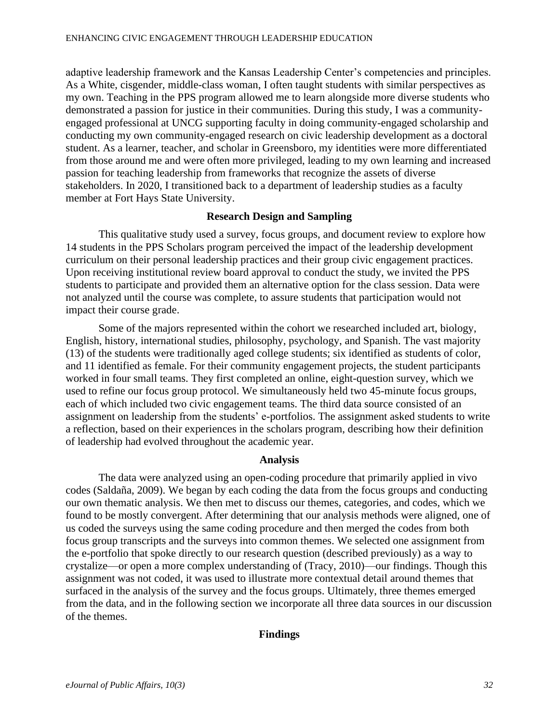adaptive leadership framework and the Kansas Leadership Center's competencies and principles. As a White, cisgender, middle-class woman, I often taught students with similar perspectives as my own. Teaching in the PPS program allowed me to learn alongside more diverse students who demonstrated a passion for justice in their communities. During this study, I was a communityengaged professional at UNCG supporting faculty in doing community-engaged scholarship and conducting my own community-engaged research on civic leadership development as a doctoral student. As a learner, teacher, and scholar in Greensboro, my identities were more differentiated from those around me and were often more privileged, leading to my own learning and increased passion for teaching leadership from frameworks that recognize the assets of diverse stakeholders. In 2020, I transitioned back to a department of leadership studies as a faculty member at Fort Hays State University.

# **Research Design and Sampling**

This qualitative study used a survey, focus groups, and document review to explore how 14 students in the PPS Scholars program perceived the impact of the leadership development curriculum on their personal leadership practices and their group civic engagement practices. Upon receiving institutional review board approval to conduct the study, we invited the PPS students to participate and provided them an alternative option for the class session. Data were not analyzed until the course was complete, to assure students that participation would not impact their course grade.

Some of the majors represented within the cohort we researched included art, biology, English, history, international studies, philosophy, psychology, and Spanish. The vast majority (13) of the students were traditionally aged college students; six identified as students of color, and 11 identified as female. For their community engagement projects, the student participants worked in four small teams. They first completed an online, eight-question survey, which we used to refine our focus group protocol. We simultaneously held two 45-minute focus groups, each of which included two civic engagement teams. The third data source consisted of an assignment on leadership from the students' e-portfolios. The assignment asked students to write a reflection, based on their experiences in the scholars program, describing how their definition of leadership had evolved throughout the academic year.

#### **Analysis**

The data were analyzed using an open-coding procedure that primarily applied in vivo codes (Saldaña, 2009). We began by each coding the data from the focus groups and conducting our own thematic analysis. We then met to discuss our themes, categories, and codes, which we found to be mostly convergent. After determining that our analysis methods were aligned, one of us coded the surveys using the same coding procedure and then merged the codes from both focus group transcripts and the surveys into common themes. We selected one assignment from the e-portfolio that spoke directly to our research question (described previously) as a way to crystalize—or open a more complex understanding of (Tracy, 2010)—our findings. Though this assignment was not coded, it was used to illustrate more contextual detail around themes that surfaced in the analysis of the survey and the focus groups. Ultimately, three themes emerged from the data, and in the following section we incorporate all three data sources in our discussion of the themes.

# **Findings**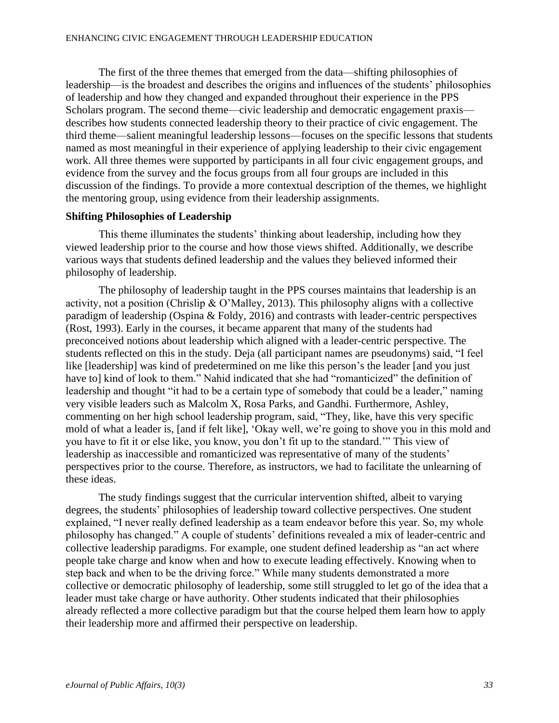The first of the three themes that emerged from the data—shifting philosophies of leadership—is the broadest and describes the origins and influences of the students' philosophies of leadership and how they changed and expanded throughout their experience in the PPS Scholars program. The second theme—civic leadership and democratic engagement praxis describes how students connected leadership theory to their practice of civic engagement. The third theme—salient meaningful leadership lessons—focuses on the specific lessons that students named as most meaningful in their experience of applying leadership to their civic engagement work. All three themes were supported by participants in all four civic engagement groups, and evidence from the survey and the focus groups from all four groups are included in this discussion of the findings. To provide a more contextual description of the themes, we highlight the mentoring group, using evidence from their leadership assignments.

# **Shifting Philosophies of Leadership**

This theme illuminates the students' thinking about leadership, including how they viewed leadership prior to the course and how those views shifted. Additionally, we describe various ways that students defined leadership and the values they believed informed their philosophy of leadership.

The philosophy of leadership taught in the PPS courses maintains that leadership is an activity, not a position (Chrislip & O'Malley, 2013). This philosophy aligns with a collective paradigm of leadership (Ospina & Foldy, 2016) and contrasts with leader-centric perspectives (Rost, 1993). Early in the courses, it became apparent that many of the students had preconceived notions about leadership which aligned with a leader-centric perspective. The students reflected on this in the study. Deja (all participant names are pseudonyms) said, "I feel like [leadership] was kind of predetermined on me like this person's the leader [and you just have to] kind of look to them." Nahid indicated that she had "romanticized" the definition of leadership and thought "it had to be a certain type of somebody that could be a leader," naming very visible leaders such as Malcolm X, Rosa Parks, and Gandhi. Furthermore, Ashley, commenting on her high school leadership program, said, "They, like, have this very specific mold of what a leader is, [and if felt like], 'Okay well, we're going to shove you in this mold and you have to fit it or else like, you know, you don't fit up to the standard.'" This view of leadership as inaccessible and romanticized was representative of many of the students' perspectives prior to the course. Therefore, as instructors, we had to facilitate the unlearning of these ideas.

The study findings suggest that the curricular intervention shifted, albeit to varying degrees, the students' philosophies of leadership toward collective perspectives. One student explained, "I never really defined leadership as a team endeavor before this year. So, my whole philosophy has changed." A couple of students' definitions revealed a mix of leader-centric and collective leadership paradigms. For example, one student defined leadership as "an act where people take charge and know when and how to execute leading effectively. Knowing when to step back and when to be the driving force." While many students demonstrated a more collective or democratic philosophy of leadership, some still struggled to let go of the idea that a leader must take charge or have authority. Other students indicated that their philosophies already reflected a more collective paradigm but that the course helped them learn how to apply their leadership more and affirmed their perspective on leadership.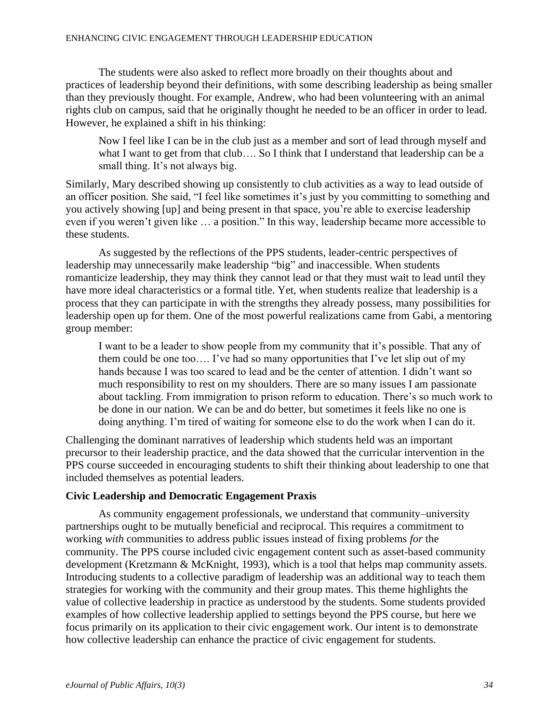The students were also asked to reflect more broadly on their thoughts about and practices of leadership beyond their definitions, with some describing leadership as being smaller than they previously thought. For example, Andrew, who had been volunteering with an animal rights club on campus, said that he originally thought he needed to be an officer in order to lead. However, he explained a shift in his thinking:

Now I feel like I can be in the club just as a member and sort of lead through myself and what I want to get from that club…. So I think that I understand that leadership can be a small thing. It's not always big.

Similarly, Mary described showing up consistently to club activities as a way to lead outside of an officer position. She said, "I feel like sometimes it's just by you committing to something and you actively showing [up] and being present in that space, you're able to exercise leadership even if you weren't given like … a position." In this way, leadership became more accessible to these students.

As suggested by the reflections of the PPS students, leader-centric perspectives of leadership may unnecessarily make leadership "big" and inaccessible. When students romanticize leadership, they may think they cannot lead or that they must wait to lead until they have more ideal characteristics or a formal title. Yet, when students realize that leadership is a process that they can participate in with the strengths they already possess, many possibilities for leadership open up for them. One of the most powerful realizations came from Gabi, a mentoring group member:

I want to be a leader to show people from my community that it's possible. That any of them could be one too…. I've had so many opportunities that I've let slip out of my hands because I was too scared to lead and be the center of attention. I didn't want so much responsibility to rest on my shoulders. There are so many issues I am passionate about tackling. From immigration to prison reform to education. There's so much work to be done in our nation. We can be and do better, but sometimes it feels like no one is doing anything. I'm tired of waiting for someone else to do the work when I can do it.

Challenging the dominant narratives of leadership which students held was an important precursor to their leadership practice, and the data showed that the curricular intervention in the PPS course succeeded in encouraging students to shift their thinking about leadership to one that included themselves as potential leaders.

# **Civic Leadership and Democratic Engagement Praxis**

As community engagement professionals, we understand that community–university partnerships ought to be mutually beneficial and reciprocal. This requires a commitment to working *with* communities to address public issues instead of fixing problems *for* the community. The PPS course included civic engagement content such as asset-based community development (Kretzmann & McKnight, 1993), which is a tool that helps map community assets. Introducing students to a collective paradigm of leadership was an additional way to teach them strategies for working with the community and their group mates. This theme highlights the value of collective leadership in practice as understood by the students. Some students provided examples of how collective leadership applied to settings beyond the PPS course, but here we focus primarily on its application to their civic engagement work. Our intent is to demonstrate how collective leadership can enhance the practice of civic engagement for students.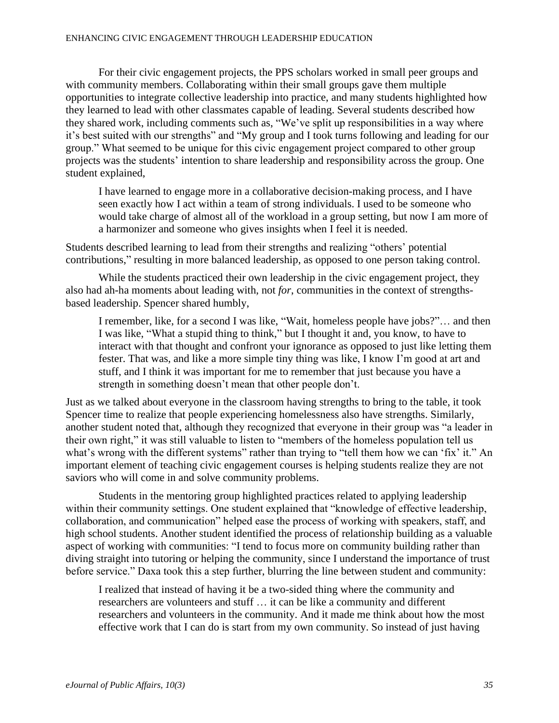For their civic engagement projects, the PPS scholars worked in small peer groups and with community members. Collaborating within their small groups gave them multiple opportunities to integrate collective leadership into practice, and many students highlighted how they learned to lead with other classmates capable of leading. Several students described how they shared work, including comments such as, "We've split up responsibilities in a way where it's best suited with our strengths" and "My group and I took turns following and leading for our group." What seemed to be unique for this civic engagement project compared to other group projects was the students' intention to share leadership and responsibility across the group. One student explained,

I have learned to engage more in a collaborative decision-making process, and I have seen exactly how I act within a team of strong individuals. I used to be someone who would take charge of almost all of the workload in a group setting, but now I am more of a harmonizer and someone who gives insights when I feel it is needed.

Students described learning to lead from their strengths and realizing "others' potential contributions," resulting in more balanced leadership, as opposed to one person taking control.

While the students practiced their own leadership in the civic engagement project, they also had ah-ha moments about leading with, not *for*, communities in the context of strengthsbased leadership. Spencer shared humbly,

I remember, like, for a second I was like, "Wait, homeless people have jobs?"… and then I was like, "What a stupid thing to think," but I thought it and, you know, to have to interact with that thought and confront your ignorance as opposed to just like letting them fester. That was, and like a more simple tiny thing was like, I know I'm good at art and stuff, and I think it was important for me to remember that just because you have a strength in something doesn't mean that other people don't.

Just as we talked about everyone in the classroom having strengths to bring to the table, it took Spencer time to realize that people experiencing homelessness also have strengths. Similarly, another student noted that, although they recognized that everyone in their group was "a leader in their own right," it was still valuable to listen to "members of the homeless population tell us what's wrong with the different systems" rather than trying to "tell them how we can 'fix' it." An important element of teaching civic engagement courses is helping students realize they are not saviors who will come in and solve community problems.

Students in the mentoring group highlighted practices related to applying leadership within their community settings. One student explained that "knowledge of effective leadership, collaboration, and communication" helped ease the process of working with speakers, staff, and high school students. Another student identified the process of relationship building as a valuable aspect of working with communities: "I tend to focus more on community building rather than diving straight into tutoring or helping the community, since I understand the importance of trust before service." Daxa took this a step further, blurring the line between student and community:

I realized that instead of having it be a two-sided thing where the community and researchers are volunteers and stuff … it can be like a community and different researchers and volunteers in the community. And it made me think about how the most effective work that I can do is start from my own community. So instead of just having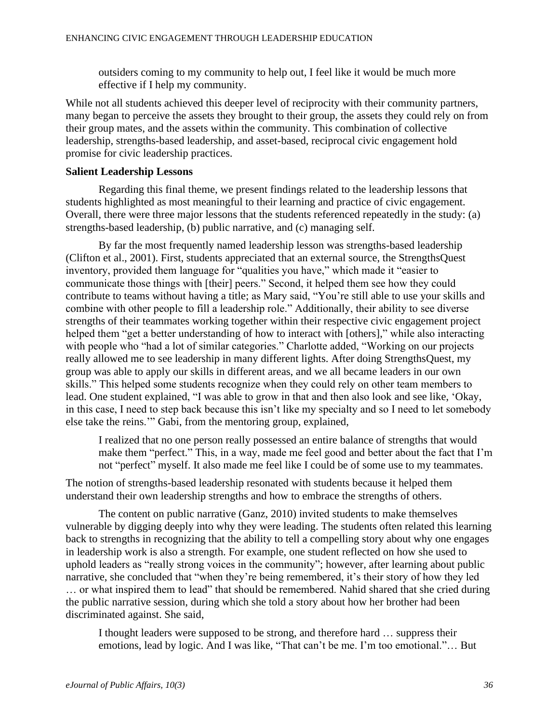outsiders coming to my community to help out, I feel like it would be much more effective if I help my community.

While not all students achieved this deeper level of reciprocity with their community partners, many began to perceive the assets they brought to their group, the assets they could rely on from their group mates, and the assets within the community. This combination of collective leadership, strengths-based leadership, and asset-based, reciprocal civic engagement hold promise for civic leadership practices.

# **Salient Leadership Lessons**

Regarding this final theme, we present findings related to the leadership lessons that students highlighted as most meaningful to their learning and practice of civic engagement. Overall, there were three major lessons that the students referenced repeatedly in the study: (a) strengths-based leadership, (b) public narrative, and (c) managing self.

By far the most frequently named leadership lesson was strengths-based leadership (Clifton et al., 2001). First, students appreciated that an external source, the StrengthsQuest inventory, provided them language for "qualities you have," which made it "easier to communicate those things with [their] peers." Second, it helped them see how they could contribute to teams without having a title; as Mary said, "You're still able to use your skills and combine with other people to fill a leadership role." Additionally, their ability to see diverse strengths of their teammates working together within their respective civic engagement project helped them "get a better understanding of how to interact with [others]," while also interacting with people who "had a lot of similar categories." Charlotte added, "Working on our projects really allowed me to see leadership in many different lights. After doing StrengthsQuest, my group was able to apply our skills in different areas, and we all became leaders in our own skills." This helped some students recognize when they could rely on other team members to lead. One student explained, "I was able to grow in that and then also look and see like, 'Okay, in this case, I need to step back because this isn't like my specialty and so I need to let somebody else take the reins.'" Gabi, from the mentoring group, explained,

I realized that no one person really possessed an entire balance of strengths that would make them "perfect." This, in a way, made me feel good and better about the fact that I'm not "perfect" myself. It also made me feel like I could be of some use to my teammates.

The notion of strengths-based leadership resonated with students because it helped them understand their own leadership strengths and how to embrace the strengths of others.

The content on public narrative (Ganz, 2010) invited students to make themselves vulnerable by digging deeply into why they were leading. The students often related this learning back to strengths in recognizing that the ability to tell a compelling story about why one engages in leadership work is also a strength. For example, one student reflected on how she used to uphold leaders as "really strong voices in the community"; however, after learning about public narrative, she concluded that "when they're being remembered, it's their story of how they led … or what inspired them to lead" that should be remembered. Nahid shared that she cried during the public narrative session, during which she told a story about how her brother had been discriminated against. She said,

I thought leaders were supposed to be strong, and therefore hard … suppress their emotions, lead by logic. And I was like, "That can't be me. I'm too emotional."… But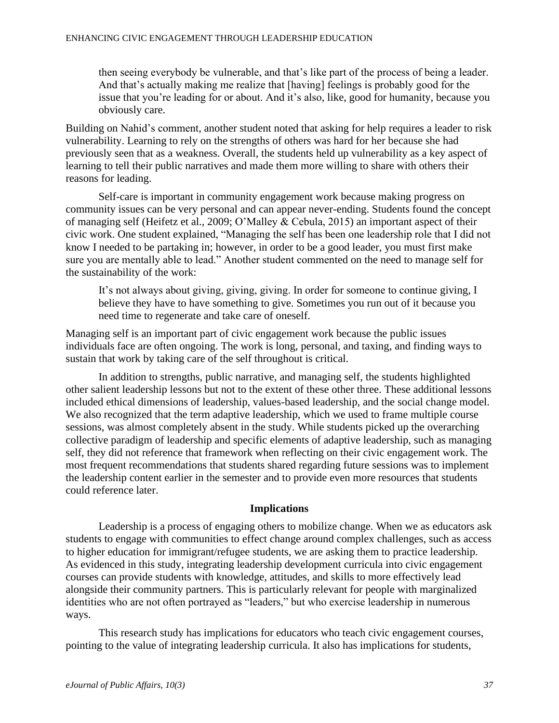then seeing everybody be vulnerable, and that's like part of the process of being a leader. And that's actually making me realize that [having] feelings is probably good for the issue that you're leading for or about. And it's also, like, good for humanity, because you obviously care.

Building on Nahid's comment, another student noted that asking for help requires a leader to risk vulnerability. Learning to rely on the strengths of others was hard for her because she had previously seen that as a weakness. Overall, the students held up vulnerability as a key aspect of learning to tell their public narratives and made them more willing to share with others their reasons for leading.

Self-care is important in community engagement work because making progress on community issues can be very personal and can appear never-ending. Students found the concept of managing self (Heifetz et al., 2009; O'Malley & Cebula, 2015) an important aspect of their civic work. One student explained, "Managing the self has been one leadership role that I did not know I needed to be partaking in; however, in order to be a good leader, you must first make sure you are mentally able to lead." Another student commented on the need to manage self for the sustainability of the work:

It's not always about giving, giving, giving. In order for someone to continue giving, I believe they have to have something to give. Sometimes you run out of it because you need time to regenerate and take care of oneself.

Managing self is an important part of civic engagement work because the public issues individuals face are often ongoing. The work is long, personal, and taxing, and finding ways to sustain that work by taking care of the self throughout is critical.

In addition to strengths, public narrative, and managing self, the students highlighted other salient leadership lessons but not to the extent of these other three. These additional lessons included ethical dimensions of leadership, values-based leadership, and the social change model. We also recognized that the term adaptive leadership, which we used to frame multiple course sessions, was almost completely absent in the study. While students picked up the overarching collective paradigm of leadership and specific elements of adaptive leadership, such as managing self, they did not reference that framework when reflecting on their civic engagement work. The most frequent recommendations that students shared regarding future sessions was to implement the leadership content earlier in the semester and to provide even more resources that students could reference later.

#### **Implications**

Leadership is a process of engaging others to mobilize change. When we as educators ask students to engage with communities to effect change around complex challenges, such as access to higher education for immigrant/refugee students, we are asking them to practice leadership. As evidenced in this study, integrating leadership development curricula into civic engagement courses can provide students with knowledge, attitudes, and skills to more effectively lead alongside their community partners. This is particularly relevant for people with marginalized identities who are not often portrayed as "leaders," but who exercise leadership in numerous ways.

This research study has implications for educators who teach civic engagement courses, pointing to the value of integrating leadership curricula. It also has implications for students,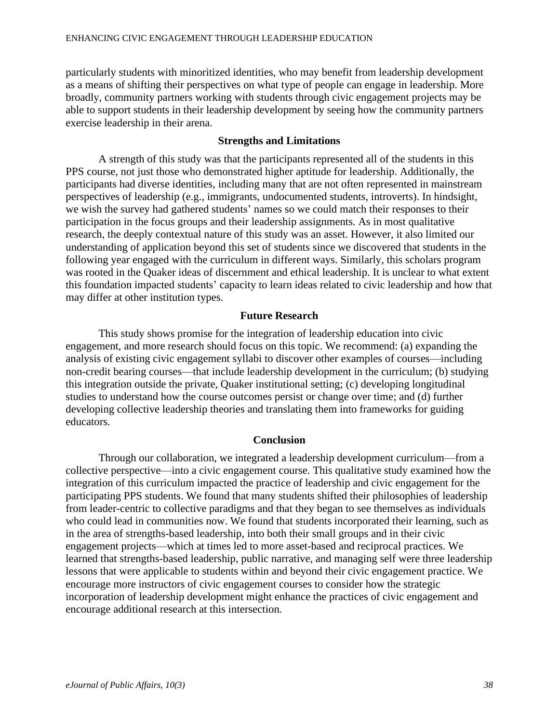particularly students with minoritized identities, who may benefit from leadership development as a means of shifting their perspectives on what type of people can engage in leadership. More broadly, community partners working with students through civic engagement projects may be able to support students in their leadership development by seeing how the community partners exercise leadership in their arena.

# **Strengths and Limitations**

A strength of this study was that the participants represented all of the students in this PPS course, not just those who demonstrated higher aptitude for leadership. Additionally, the participants had diverse identities, including many that are not often represented in mainstream perspectives of leadership (e.g., immigrants, undocumented students, introverts). In hindsight, we wish the survey had gathered students' names so we could match their responses to their participation in the focus groups and their leadership assignments. As in most qualitative research, the deeply contextual nature of this study was an asset. However, it also limited our understanding of application beyond this set of students since we discovered that students in the following year engaged with the curriculum in different ways. Similarly, this scholars program was rooted in the Quaker ideas of discernment and ethical leadership. It is unclear to what extent this foundation impacted students' capacity to learn ideas related to civic leadership and how that may differ at other institution types.

# **Future Research**

This study shows promise for the integration of leadership education into civic engagement, and more research should focus on this topic. We recommend: (a) expanding the analysis of existing civic engagement syllabi to discover other examples of courses—including non-credit bearing courses—that include leadership development in the curriculum; (b) studying this integration outside the private, Quaker institutional setting; (c) developing longitudinal studies to understand how the course outcomes persist or change over time; and (d) further developing collective leadership theories and translating them into frameworks for guiding educators.

#### **Conclusion**

Through our collaboration, we integrated a leadership development curriculum—from a collective perspective—into a civic engagement course. This qualitative study examined how the integration of this curriculum impacted the practice of leadership and civic engagement for the participating PPS students. We found that many students shifted their philosophies of leadership from leader-centric to collective paradigms and that they began to see themselves as individuals who could lead in communities now. We found that students incorporated their learning, such as in the area of strengths-based leadership, into both their small groups and in their civic engagement projects—which at times led to more asset-based and reciprocal practices. We learned that strengths-based leadership, public narrative, and managing self were three leadership lessons that were applicable to students within and beyond their civic engagement practice. We encourage more instructors of civic engagement courses to consider how the strategic incorporation of leadership development might enhance the practices of civic engagement and encourage additional research at this intersection.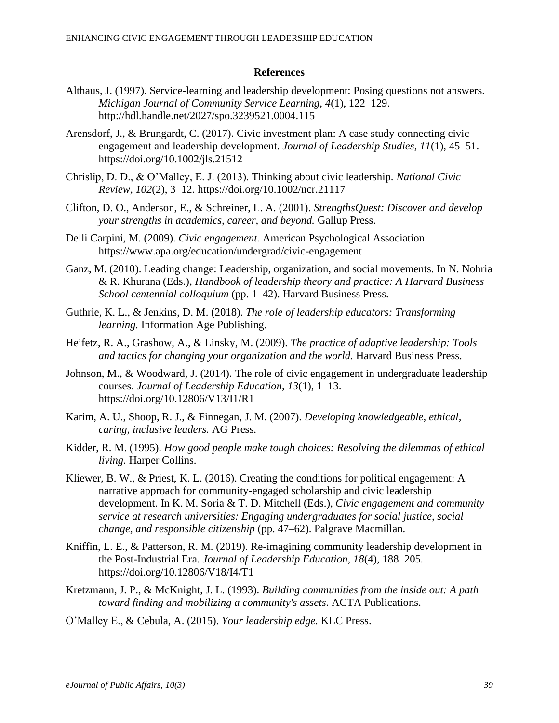#### **References**

- Althaus, J. (1997). Service-learning and leadership development: Posing questions not answers. *Michigan Journal of Community Service Learning, 4*(1), 122–129. http://hdl.handle.net/2027/spo.3239521.0004.115
- Arensdorf, J., & Brungardt, C. (2017). Civic investment plan: A case study connecting civic engagement and leadership development. *Journal of Leadership Studies, 11*(1), 45–51. https://doi.org/10.1002/jls.21512
- Chrislip, D. D., & O'Malley, E. J. (2013). Thinking about civic leadership. *National Civic Review, 102*(2), 3–12. https://doi.org/10.1002/ncr.21117
- Clifton, D. O., Anderson, E., & Schreiner, L. A. (2001). *StrengthsQuest: Discover and develop your strengths in academics, career, and beyond.* Gallup Press.
- Delli Carpini, M. (2009). *Civic engagement.* American Psychological Association. https://www.apa.org/education/undergrad/civic-engagement
- Ganz, M. (2010). Leading change: Leadership, organization, and social movements. In N. Nohria & R. Khurana (Eds.), *Handbook of leadership theory and practice: A Harvard Business School centennial colloquium* (pp. 1–42). Harvard Business Press.
- Guthrie, K. L., & Jenkins, D. M. (2018). *The role of leadership educators: Transforming learning.* Information Age Publishing.
- Heifetz, R. A., Grashow, A., & Linsky, M. (2009). *The practice of adaptive leadership: Tools and tactics for changing your organization and the world.* Harvard Business Press.
- Johnson, M., & Woodward, J. (2014). The role of civic engagement in undergraduate leadership courses. *Journal of Leadership Education, 13*(1), 1–13. https://doi.org/10.12806/V13/I1/R1
- Karim, A. U., Shoop, R. J., & Finnegan, J. M. (2007). *Developing knowledgeable, ethical, caring, inclusive leaders.* AG Press.
- Kidder, R. M. (1995). *How good people make tough choices: Resolving the dilemmas of ethical living.* Harper Collins.
- Kliewer, B. W., & Priest, K. L. (2016). Creating the conditions for political engagement: A narrative approach for community-engaged scholarship and civic leadership development. In K. M. Soria & T. D. Mitchell (Eds.), *Civic engagement and community service at research universities: Engaging undergraduates for social justice, social change, and responsible citizenship* (pp. 47–62). Palgrave Macmillan.
- Kniffin, L. E., & Patterson, R. M. (2019). Re-imagining community leadership development in the Post-Industrial Era. *Journal of Leadership Education, 18*(4), 188–205*.* https://doi.org/10.12806/V18/I4/T1
- Kretzmann, J. P., & McKnight, J. L. (1993). *Building communities from the inside out: A path toward finding and mobilizing a community's assets*. ACTA Publications.
- O'Malley E., & Cebula, A. (2015). *Your leadership edge.* KLC Press.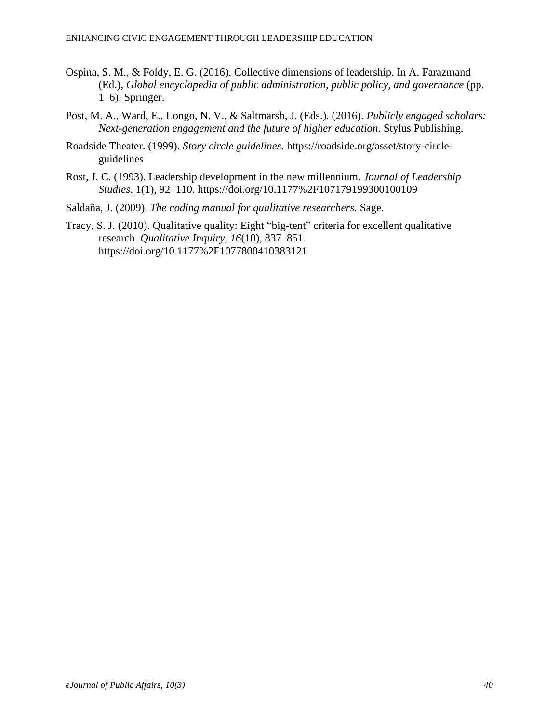- Ospina, S. M., & Foldy, E. G. (2016). Collective dimensions of leadership. In A. Farazmand (Ed.), *Global encyclopedia of public administration, public policy, and governance* (pp. 1–6). Springer.
- Post, M. A., Ward, E., Longo, N. V., & Saltmarsh, J. (Eds.). (2016). *Publicly engaged scholars: Next-generation engagement and the future of higher education*. Stylus Publishing.
- Roadside Theater. (1999). *Story circle guidelines.* https://roadside.org/asset/story-circleguidelines
- Rost, J. C. (1993). Leadership development in the new millennium. *Journal of Leadership Studies*, 1(1), 92–110. https://doi.org/10.1177%2F107179199300100109
- Saldaña, J. (2009). *The coding manual for qualitative researchers.* Sage.
- Tracy, S. J. (2010). Qualitative quality: Eight "big-tent" criteria for excellent qualitative research. *Qualitative Inquiry*, *16*(10), 837–851. https://doi.org/10.1177%2F1077800410383121